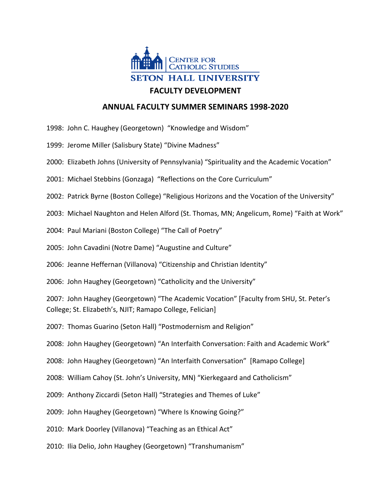

## **ANNUAL FACULTY SUMMER SEMINARS 1998-2020**

- 1998: John C. Haughey (Georgetown) "Knowledge and Wisdom"
- 1999: Jerome Miller (Salisbury State) "Divine Madness"
- 2000: Elizabeth Johns (University of Pennsylvania) "Spirituality and the Academic Vocation"
- 2001: Michael Stebbins (Gonzaga) "Reflections on the Core Curriculum"
- 2002: Patrick Byrne (Boston College) "Religious Horizons and the Vocation of the University"
- 2003: Michael Naughton and Helen Alford (St. Thomas, MN; Angelicum, Rome) "Faith at Work"
- 2004: Paul Mariani (Boston College) "The Call of Poetry"
- 2005: John Cavadini (Notre Dame) "Augustine and Culture"
- 2006: Jeanne Heffernan (Villanova) "Citizenship and Christian Identity"
- 2006: John Haughey (Georgetown) "Catholicity and the University"
- 2007: John Haughey (Georgetown) "The Academic Vocation" [Faculty from SHU, St. Peter's College; St. Elizabeth's, NJIT; Ramapo College, Felician]
- 2007: Thomas Guarino (Seton Hall) "Postmodernism and Religion"
- 2008: John Haughey (Georgetown) "An Interfaith Conversation: Faith and Academic Work"
- 2008: John Haughey (Georgetown) "An Interfaith Conversation" [Ramapo College]
- 2008: William Cahoy (St. John's University, MN) "Kierkegaard and Catholicism"
- 2009: Anthony Ziccardi (Seton Hall) "Strategies and Themes of Luke"
- 2009: John Haughey (Georgetown) "Where Is Knowing Going?"
- 2010: Mark Doorley (Villanova) "Teaching as an Ethical Act"
- 2010: Ilia Delio, John Haughey (Georgetown) "Transhumanism"